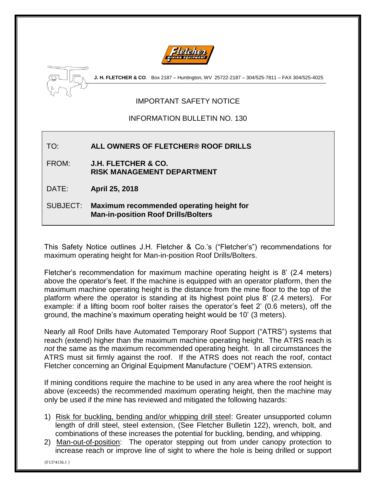



**J. H. FLETCHER & CO**. Box 2187 – Huntington, WV 25722-2187 – 304/525-7811 – FAX 304/525-4025

# IMPORTANT SAFETY NOTICE

### INFORMATION BULLETIN NO. 130

### TO: **ALL OWNERS OF FLETCHER® ROOF DRILLS**

FROM: **J.H. FLETCHER & CO. RISK MANAGEMENT DEPARTMENT**

DATE: **April 25, 2018**

### SUBJECT: **Maximum recommended operating height for Man-in-position Roof Drills/Bolters**

This Safety Notice outlines J.H. Fletcher & Co.'s ("Fletcher's") recommendations for maximum operating height for Man-in-position Roof Drills/Bolters.

Fletcher's recommendation for maximum machine operating height is 8' (2.4 meters) above the operator's feet. If the machine is equipped with an operator platform, then the maximum machine operating height is the distance from the mine floor to the top of the platform where the operator is standing at its highest point plus 8' (2.4 meters). For example: if a lifting boom roof bolter raises the operator's feet 2' (0.6 meters), off the ground, the machine's maximum operating height would be 10' (3 meters).

Nearly all Roof Drills have Automated Temporary Roof Support ("ATRS") systems that reach (extend) higher than the maximum machine operating height. The ATRS reach is *not* the same as the maximum recommended operating height. In all circumstances the ATRS must sit firmly against the roof. If the ATRS does not reach the roof, contact Fletcher concerning an Original Equipment Manufacture ("OEM") ATRS extension.

If mining conditions require the machine to be used in any area where the roof height is above (exceeds) the recommended maximum operating height, then the machine may only be used if the mine has reviewed and mitigated the following hazards:

- 1) Risk for buckling, bending and/or whipping drill steel: Greater unsupported column length of drill steel, steel extension, (See Fletcher Bulletin 122), wrench, bolt, and combinations of these increases the potential for buckling, bending, and whipping.
- 2) Man-out-of-position: The operator stepping out from under canopy protection to increase reach or improve line of sight to where the hole is being drilled or support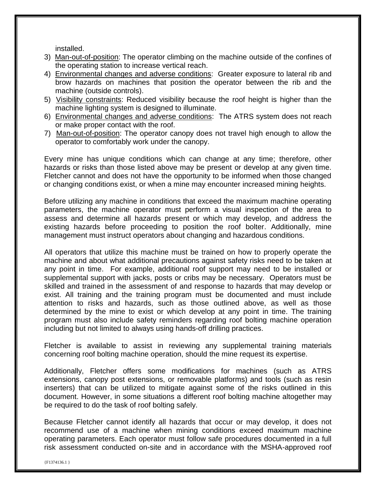installed.

- 3) Man-out-of-position: The operator climbing on the machine outside of the confines of the operating station to increase vertical reach.
- 4) Environmental changes and adverse conditions: Greater exposure to lateral rib and brow hazards on machines that position the operator between the rib and the machine (outside controls).
- 5) Visibility constraints: Reduced visibility because the roof height is higher than the machine lighting system is designed to illuminate.
- 6) Environmental changes and adverse conditions: The ATRS system does not reach or make proper contact with the roof.
- 7) Man-out-of-position: The operator canopy does not travel high enough to allow the operator to comfortably work under the canopy.

Every mine has unique conditions which can change at any time; therefore, other hazards or risks than those listed above may be present or develop at any given time. Fletcher cannot and does not have the opportunity to be informed when those changed or changing conditions exist, or when a mine may encounter increased mining heights.

Before utilizing any machine in conditions that exceed the maximum machine operating parameters, the machine operator must perform a visual inspection of the area to assess and determine all hazards present or which may develop, and address the existing hazards before proceeding to position the roof bolter. Additionally, mine management must instruct operators about changing and hazardous conditions.

All operators that utilize this machine must be trained on how to properly operate the machine and about what additional precautions against safety risks need to be taken at any point in time. For example, additional roof support may need to be installed or supplemental support with jacks, posts or cribs may be necessary. Operators must be skilled and trained in the assessment of and response to hazards that may develop or exist. All training and the training program must be documented and must include attention to risks and hazards, such as those outlined above, as well as those determined by the mine to exist or which develop at any point in time. The training program must also include safety reminders regarding roof bolting machine operation including but not limited to always using hands-off drilling practices.

Fletcher is available to assist in reviewing any supplemental training materials concerning roof bolting machine operation, should the mine request its expertise.

Additionally, Fletcher offers some modifications for machines (such as ATRS extensions, canopy post extensions, or removable platforms) and tools (such as resin inserters) that can be utilized to mitigate against some of the risks outlined in this document. However, in some situations a different roof bolting machine altogether may be required to do the task of roof bolting safely.

Because Fletcher cannot identify all hazards that occur or may develop, it does not recommend use of a machine when mining conditions exceed maximum machine operating parameters. Each operator must follow safe procedures documented in a full risk assessment conducted on-site and in accordance with the MSHA-approved roof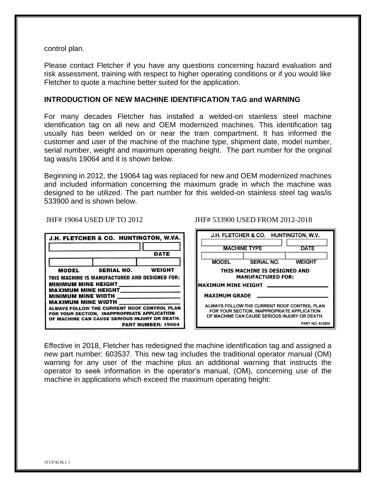control plan.

Please contact Fletcher if you have any questions concerning hazard evaluation and risk assessment, training with respect to higher operating conditions or if you would like Fletcher to quote a machine better suited for the application.

#### **INTRODUCTION OF NEW MACHINE IDENTIFICATION TAG and WARNING**

For many decades Fletcher has installed a welded-on stainless steel machine identification tag on all new and OEM modernized machines. This identification tag usually has been welded on or near the tram compartment. It has informed the customer and user of the machine of the machine type, shipment date, model number, serial number, weight and maximum operating height. The part number for the original tag was/is 19064 and it is shown below.

Beginning in 2012, the 19064 tag was replaced for new and OEM modernized machines and included information concerning the maximum grade in which the machine was designed to be utilized. The part number for this welded-on stainless steel tag was/is 533900 and is shown below.

| J.H. FLETCHER & CO. HUNTINGTON, W.VA.                                      |                   |               |  |
|----------------------------------------------------------------------------|-------------------|---------------|--|
|                                                                            |                   |               |  |
|                                                                            |                   | DATE          |  |
|                                                                            |                   |               |  |
| <b>MODEL</b>                                                               | <b>SERIAL NO.</b> | <b>WEIGHT</b> |  |
| THIS MACHINE IS MANUFACTURED AND DESIGNED FOR:                             |                   |               |  |
| <b>MINIMUM MINE HEIGHT</b>                                                 |                   |               |  |
| <b>MAXIMUM MINE HEIGHT</b>                                                 |                   |               |  |
| <b>MINIMUM MINE WIDTH</b><br><b>MAXIMUM MINE WIDTH</b>                     |                   |               |  |
| ALWAYS FOLLOW THE CURRENT ROOF CONTROL PLAN                                |                   |               |  |
| FOR YOUR SECTION, INAPPROPRIATE APPLICATION                                |                   |               |  |
| OF MACHINE CAN CAUSE SERIOUS INJURY OR DEATH.<br><b>PART NUMBER: 19064</b> |                   |               |  |
|                                                                            |                   |               |  |

JHF# 19064 USED UP TO 2012 JHF# 533900 USED FROM 2012-2018

| J.H. FLETCHER & CO.<br>HUNTINGTON, W.V.                                                                                                     |                     |                        |
|---------------------------------------------------------------------------------------------------------------------------------------------|---------------------|------------------------|
|                                                                                                                                             | <b>MACHINE TYPE</b> | <b>DATE</b>            |
| <b>MODEL</b>                                                                                                                                | <b>SERIAL NO.</b>   | <b>WEIGHT</b>          |
| THIS MACHINE IS DESIGNED AND<br><b>MANUFACTURED FOR:</b>                                                                                    |                     |                        |
| <b>MAXIMUM MINE HEIGHT</b>                                                                                                                  |                     |                        |
| <b>MAXIMUM GRADE</b>                                                                                                                        |                     |                        |
| ALWAYS FOLLOW THE CURRENT ROOF CONTROL PLAN<br>FOR YOUR SECTION, INAPPROPRIATE APPLICATION<br>OF MACHINE CAN CAUSE SERIOUS INJURY OR DEATH. |                     |                        |
|                                                                                                                                             |                     | <b>PART NO: 533900</b> |

Effective in 2018, Fletcher has redesigned the machine identification tag and assigned a new part number: 603537. This new tag includes the traditional operator manual (OM) warning for any user of the machine plus an additional warning that instructs the operator to seek information in the operator's manual, (OM), concerning use of the machine in applications which exceed the maximum operating height: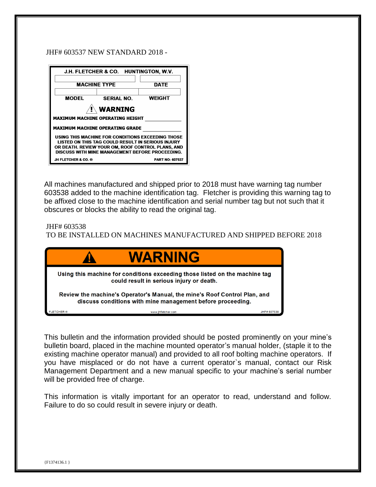#### JHF# 603537 NEW STANDARD 2018 -

| J.H. FLETCHER & CO. HUNTINGTON, W.V.                                                                 |                   |                        |
|------------------------------------------------------------------------------------------------------|-------------------|------------------------|
|                                                                                                      |                   |                        |
| <b>MACHINE TYPE</b>                                                                                  |                   | <b>DATE</b>            |
|                                                                                                      |                   |                        |
| <b>MODEL</b>                                                                                         | <b>SERIAL NO.</b> | <b>WEIGHT</b>          |
| <b>WARNING</b>                                                                                       |                   |                        |
|                                                                                                      |                   |                        |
| <b>MAXIMUM MACHINE OPERATING HEIGHT</b>                                                              |                   |                        |
| MAXIMUM MACHINE OPERATING GRADE                                                                      |                   |                        |
| USING THIS MACHINE FOR CONDITIONS EXCEEDING THOSE                                                    |                   |                        |
| LISTED ON THIS TAG COULD RESULT IN SERIOUS INJURY                                                    |                   |                        |
| OR DEATH. REVIEW YOUR OM, ROOF CONTROL PLANS, AND<br>DISCUSS WITH MINE MANAGEMENT BEFORE PROCEEDING. |                   |                        |
| JH FLETCHER & CO. ®                                                                                  |                   | <b>PART NO: 607537</b> |

All machines manufactured and shipped prior to 2018 must have warning tag number 603538 added to the machine identification tag. Fletcher is providing this warning tag to be affixed close to the machine identification and serial number tag but not such that it obscures or blocks the ability to read the original tag.

JHF# 603538

TO BE INSTALLED ON MACHINES MANUFACTURED AND SHIPPED BEFORE 2018



This bulletin and the information provided should be posted prominently on your mine's bulletin board, placed in the machine mounted operator's manual holder, (staple it to the existing machine operator manual) and provided to all roof bolting machine operators. If you have misplaced or do not have a current operator`s manual, contact our Risk Management Department and a new manual specific to your machine's serial number will be provided free of charge.

This information is vitally important for an operator to read, understand and follow. Failure to do so could result in severe injury or death.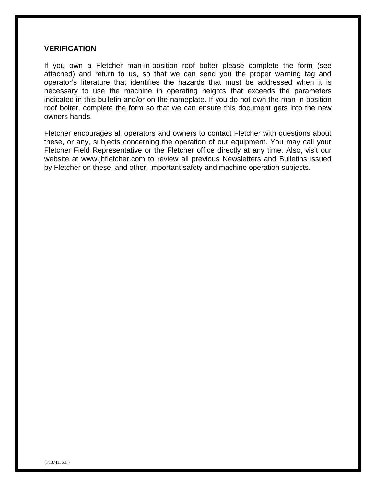#### **VERIFICATION**

If you own a Fletcher man-in-position roof bolter please complete the form (see attached) and return to us, so that we can send you the proper warning tag and operator's literature that identifies the hazards that must be addressed when it is necessary to use the machine in operating heights that exceeds the parameters indicated in this bulletin and/or on the nameplate. If you do not own the man-in-position roof bolter, complete the form so that we can ensure this document gets into the new owners hands.

Fletcher encourages all operators and owners to contact Fletcher with questions about these, or any, subjects concerning the operation of our equipment. You may call your Fletcher Field Representative or the Fletcher office directly at any time. Also, visit our website at www.jhfletcher.com to review all previous Newsletters and Bulletins issued by Fletcher on these, and other, important safety and machine operation subjects.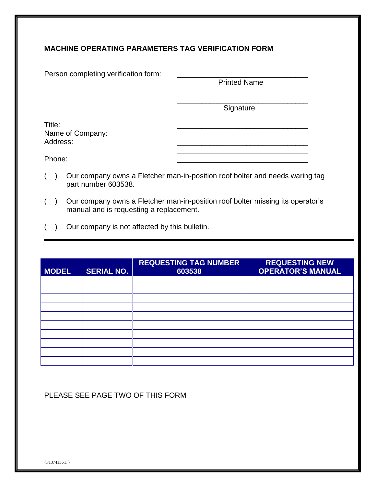## **MACHINE OPERATING PARAMETERS TAG VERIFICATION FORM**

Printed Name

\_\_\_\_\_\_\_\_\_\_\_\_\_\_\_\_\_\_\_\_\_\_\_\_\_\_\_\_\_\_\_\_ Signature

\_\_\_\_\_\_\_\_\_\_\_\_\_\_\_\_\_\_\_\_\_\_\_\_\_\_\_\_\_\_\_\_

Title: \_\_\_\_\_\_\_\_\_\_\_\_\_\_\_\_\_\_\_\_\_\_\_\_\_\_\_\_\_\_\_\_ Name of Company: \_\_\_\_\_\_\_\_\_\_\_\_\_\_\_\_\_\_\_\_\_\_\_\_\_\_\_\_\_\_\_\_ Address: \_\_\_\_\_\_\_\_\_\_\_\_\_\_\_\_\_\_\_\_\_\_\_\_\_\_\_\_\_\_\_\_

Phone: \_\_\_\_\_\_\_\_\_\_\_\_\_\_\_\_\_\_\_\_\_\_\_\_\_\_\_\_\_\_\_\_

- ( ) Our company owns a Fletcher man-in-position roof bolter and needs waring tag part number 603538.
- ( ) Our company owns a Fletcher man-in-position roof bolter missing its operator's manual and is requesting a replacement.
- ( ) Our company is not affected by this bulletin.

| <b>MODEL</b> | <b>SERIAL NO.</b> | <b>REQUESTING TAG NUMBER</b><br>603538 | <b>REQUESTING NEW</b><br><b>OPERATOR'S MANUAL</b> |
|--------------|-------------------|----------------------------------------|---------------------------------------------------|
|              |                   |                                        |                                                   |
|              |                   |                                        |                                                   |
|              |                   |                                        |                                                   |
|              |                   |                                        |                                                   |
|              |                   |                                        |                                                   |
|              |                   |                                        |                                                   |
|              |                   |                                        |                                                   |
|              |                   |                                        |                                                   |
|              |                   |                                        |                                                   |
|              |                   |                                        |                                                   |

### PLEASE SEE PAGE TWO OF THIS FORM